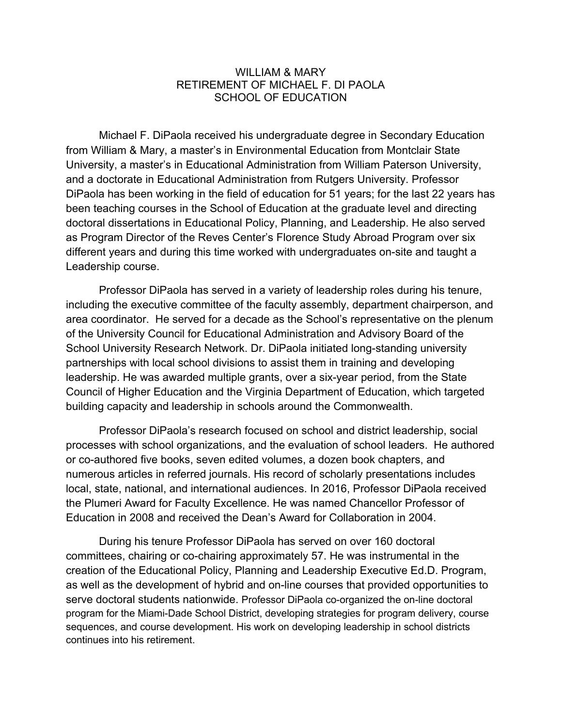## WILLIAM & MARY RETIREMENT OF MICHAEL F. DI PAOLA SCHOOL OF EDUCATION

Michael F. DiPaola received his undergraduate degree in Secondary Education from William & Mary, a master's in Environmental Education from Montclair State University, a master's in Educational Administration from William Paterson University, and a doctorate in Educational Administration from Rutgers University. Professor DiPaola has been working in the field of education for 51 years; for the last 22 years has been teaching courses in the School of Education at the graduate level and directing doctoral dissertations in Educational Policy, Planning, and Leadership. He also served as Program Director of the Reves Center's Florence Study Abroad Program over six different years and during this time worked with undergraduates on-site and taught a Leadership course.

Professor DiPaola has served in a variety of leadership roles during his tenure, including the executive committee of the faculty assembly, department chairperson, and area coordinator. He served for a decade as the School's representative on the plenum of the University Council for Educational Administration and Advisory Board of the School University Research Network. Dr. DiPaola initiated long-standing university partnerships with local school divisions to assist them in training and developing leadership. He was awarded multiple grants, over a six-year period, from the State Council of Higher Education and the Virginia Department of Education, which targeted building capacity and leadership in schools around the Commonwealth.

Professor DiPaola's research focused on school and district leadership, social processes with school organizations, and the evaluation of school leaders. He authored or co-authored five books, seven edited volumes, a dozen book chapters, and numerous articles in referred journals. His record of scholarly presentations includes local, state, national, and international audiences. In 2016, Professor DiPaola received the Plumeri Award for Faculty Excellence. He was named Chancellor Professor of Education in 2008 and received the Dean's Award for Collaboration in 2004.

During his tenure Professor DiPaola has served on over 160 doctoral committees, chairing or co-chairing approximately 57. He was instrumental in the creation of the Educational Policy, Planning and Leadership Executive Ed.D. Program, as well as the development of hybrid and on-line courses that provided opportunities to serve doctoral students nationwide. Professor DiPaola co-organized the on-line doctoral program for the Miami-Dade School District, developing strategies for program delivery, course sequences, and course development. His work on developing leadership in school districts continues into his retirement.